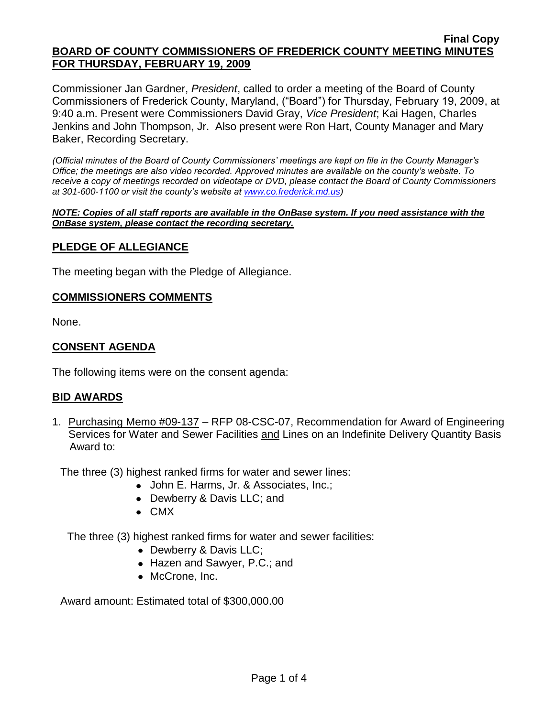#### **Final Copy BOARD OF COUNTY COMMISSIONERS OF FREDERICK COUNTY MEETING MINUTES FOR THURSDAY, FEBRUARY 19, 2009**

Commissioner Jan Gardner, *President*, called to order a meeting of the Board of County Commissioners of Frederick County, Maryland, ("Board") for Thursday, February 19, 2009, at 9:40 a.m. Present were Commissioners David Gray, *Vice President*; Kai Hagen, Charles Jenkins and John Thompson, Jr. Also present were Ron Hart, County Manager and Mary Baker, Recording Secretary.

*(Official minutes of the Board of County Commissioners' meetings are kept on file in the County Manager's Office; the meetings are also video recorded. Approved minutes are available on the county's website. To receive a copy of meetings recorded on videotape or DVD, please contact the Board of County Commissioners at 301-600-1100 or visit the county's website at [www.co.frederick.md.us\)](http://www.co.frederick.md.us/)*

#### *NOTE: Copies of all staff reports are available in the OnBase system. If you need assistance with the OnBase system, please contact the recording secretary.*

## **PLEDGE OF ALLEGIANCE**

The meeting began with the Pledge of Allegiance.

#### **COMMISSIONERS COMMENTS**

None.

# **CONSENT AGENDA**

The following items were on the consent agenda:

#### **BID AWARDS**

1. Purchasing Memo #09-137 – RFP 08-CSC-07, Recommendation for Award of Engineering Services for Water and Sewer Facilities and Lines on an Indefinite Delivery Quantity Basis Award to:

The three (3) highest ranked firms for water and sewer lines:

- John E. Harms, Jr. & Associates, Inc.;
- Dewberry & Davis LLC; and
- CMX

The three (3) highest ranked firms for water and sewer facilities:

- Dewberry & Davis LLC;
- Hazen and Sawyer, P.C.; and
- McCrone, Inc.

Award amount: Estimated total of \$300,000.00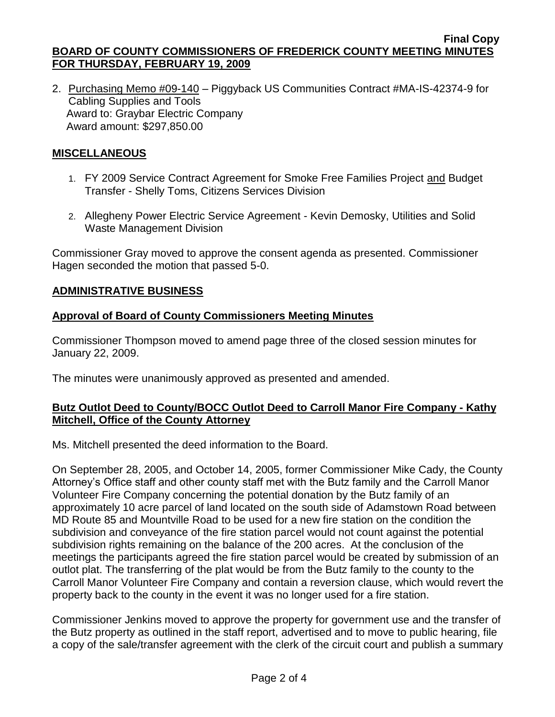2. Purchasing Memo #09-140 – Piggyback US Communities Contract #MA-IS-42374-9 for Cabling Supplies and Tools Award to: Graybar Electric Company Award amount: \$297,850.00

# **MISCELLANEOUS**

- 1. FY 2009 Service Contract Agreement for Smoke Free Families Project and Budget Transfer - Shelly Toms, Citizens Services Division
- 2. Allegheny Power Electric Service Agreement Kevin Demosky, Utilities and Solid Waste Management Division

Commissioner Gray moved to approve the consent agenda as presented. Commissioner Hagen seconded the motion that passed 5-0.

# **ADMINISTRATIVE BUSINESS**

# **Approval of Board of County Commissioners Meeting Minutes**

Commissioner Thompson moved to amend page three of the closed session minutes for January 22, 2009.

The minutes were unanimously approved as presented and amended.

# **Butz Outlot Deed to County/BOCC Outlot Deed to Carroll Manor Fire Company - Kathy Mitchell, Office of the County Attorney**

Ms. Mitchell presented the deed information to the Board.

On September 28, 2005, and October 14, 2005, former Commissioner Mike Cady, the County Attorney's Office staff and other county staff met with the Butz family and the Carroll Manor Volunteer Fire Company concerning the potential donation by the Butz family of an approximately 10 acre parcel of land located on the south side of Adamstown Road between MD Route 85 and Mountville Road to be used for a new fire station on the condition the subdivision and conveyance of the fire station parcel would not count against the potential subdivision rights remaining on the balance of the 200 acres. At the conclusion of the meetings the participants agreed the fire station parcel would be created by submission of an outlot plat. The transferring of the plat would be from the Butz family to the county to the Carroll Manor Volunteer Fire Company and contain a reversion clause, which would revert the property back to the county in the event it was no longer used for a fire station.

Commissioner Jenkins moved to approve the property for government use and the transfer of the Butz property as outlined in the staff report, advertised and to move to public hearing, file a copy of the sale/transfer agreement with the clerk of the circuit court and publish a summary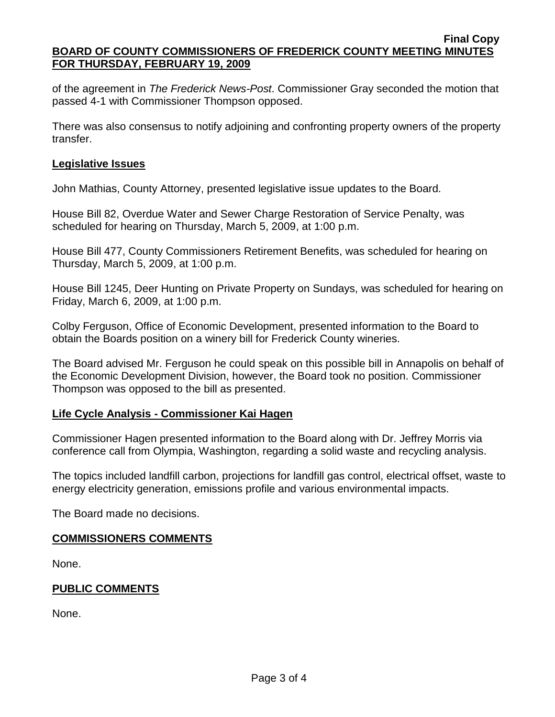#### **Final Copy BOARD OF COUNTY COMMISSIONERS OF FREDERICK COUNTY MEETING MINUTES FOR THURSDAY, FEBRUARY 19, 2009**

of the agreement in *The Frederick News-Post*. Commissioner Gray seconded the motion that passed 4-1 with Commissioner Thompson opposed.

There was also consensus to notify adjoining and confronting property owners of the property transfer.

## **Legislative Issues**

John Mathias, County Attorney, presented legislative issue updates to the Board.

House Bill 82, Overdue Water and Sewer Charge Restoration of Service Penalty, was scheduled for hearing on Thursday, March 5, 2009, at 1:00 p.m.

House Bill 477, County Commissioners Retirement Benefits, was scheduled for hearing on Thursday, March 5, 2009, at 1:00 p.m.

House Bill 1245, Deer Hunting on Private Property on Sundays, was scheduled for hearing on Friday, March 6, 2009, at 1:00 p.m.

Colby Ferguson, Office of Economic Development, presented information to the Board to obtain the Boards position on a winery bill for Frederick County wineries.

The Board advised Mr. Ferguson he could speak on this possible bill in Annapolis on behalf of the Economic Development Division, however, the Board took no position. Commissioner Thompson was opposed to the bill as presented.

## **Life Cycle Analysis - Commissioner Kai Hagen**

Commissioner Hagen presented information to the Board along with Dr. Jeffrey Morris via conference call from Olympia, Washington, regarding a solid waste and recycling analysis.

The topics included landfill carbon, projections for landfill gas control, electrical offset, waste to energy electricity generation, emissions profile and various environmental impacts.

The Board made no decisions.

## **COMMISSIONERS COMMENTS**

None.

## **PUBLIC COMMENTS**

None.